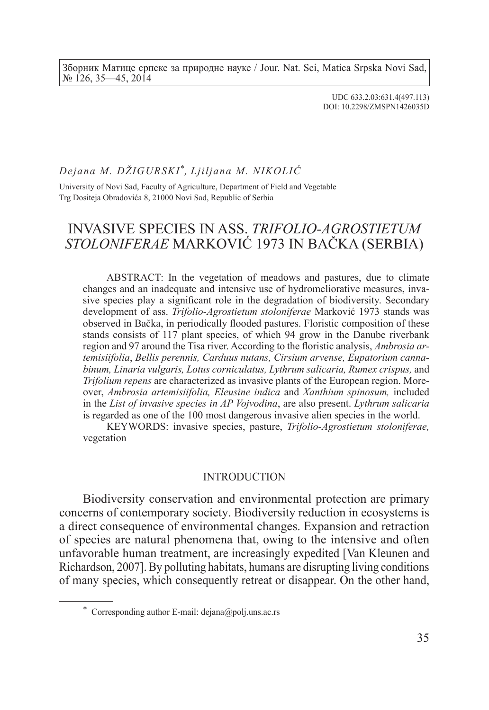Зборник Матице српске за природне науке / Jour. Nat. Sci, Matica Srpska Novi Sad, № 126, 35—45, 2014

> UDC 633.2.03:631.4(497.113) DOI: 10.2298/ZMSPN1426035D

## *Dejana M. DŽIGURSKI* \**, Ljiljana M. NIKOLIĆ*

University of Novi Sad, Faculty of Agriculture, Department of Field and Vegetable Trg Dositeja Obradovića 8, 21000 Novi Sad, Republic of Serbia

# INVASIVE SPECIES IN ASS. *TRIFOLIO-AGROSTIETUM STOLONIFERAE* MARKOVIĆ 1973 IN BAČKA (SERBIA)

ABSTRACT: In the vegetation of meadows and pastures, due to climate changes and an inadequate and intensive use of hydromeliorative measures, invasive species play a significant role in the degradation of biodiversity. Secondary development of ass. *Trifolio-Agrostietum stoloniferae* Marković 1973 stands was observed in Bačka, in periodically flooded pastures. Floristic composition of these stands consists of 117 plant species, of which 94 grow in the Danube riverbank region and 97 around the Tisa river. According to the floristic analysis, *Ambrosia artemisiifolia*, *Bellis perennis, Carduus nutans, Cirsium arvense, Eupatorium cannabinum, Linaria vulgaris, Lotus corniculatus, Lythrum salicaria, Rumex crispus,* and *Trifolium repens* are characterized as invasive plants of the European region. Moreover, *Ambrosia artemisiifolia, Eleusine indica* and *Xanthium spinosum,* included in the *List of invasive species in AP Vojvodina*, are also present. *Lythrum salicaria* is regarded as one of the 100 most dangerous invasive alien species in the world.

KEYWORDS: invasive species, pasture, *Trifolio-Agrostietum stoloniferae,* vegetation

### INTRODUCTION

Biodiversity conservation and environmental protection are primary concerns of contemporary society. Biodiversity reduction in ecosystems is a direct consequence of environmental changes. Expansion and retraction of species are natural phenomena that, owing to the intensive and often unfavorable human treatment, are increasingly expedited [Van Kleunen and Richardson, 2007]. By polluting habitats, humans are disrupting living conditions of many species, which consequently retreat or disappear. On the other hand,

<sup>\*</sup> Corresponding author E-mail: dejana@polj.uns.ac.rs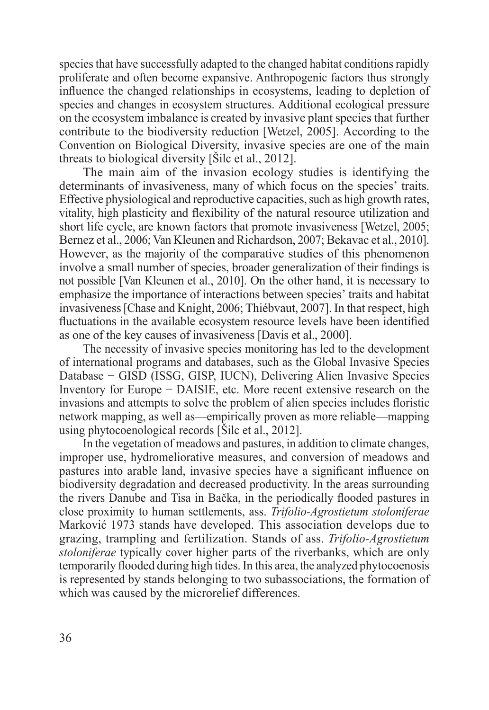species that have successfully adapted to the changed habitat conditions rapidly proliferate and often become expansive. Anthropogenic factors thus strongly influence the changed relationships in ecosystems, leading to depletion of species and changes in ecosystem structures. Additional ecological pressure on the ecosystem imbalance is created by invasive plant species that further contribute to the biodiversity reduction [Wetzel, 2005]. According to the Convention on Biological Diversity, invasive species are one of the main threats to biological diversity [Šilc et al., 2012].

The main aim of the invasion ecology studies is identifying the determinants of invasiveness, many of which focus on the species' traits. Effective physiological and reproductive capacities, such as high growth rates, vitality, high plasticity and flexibility of the natural resource utilization and short life cycle, are known factors that promote invasiveness [Wetzel, 2005; Bernez et al., 2006; Van Kleunen and Richardson, 2007; Bekavac et al., 2010]. However, as the majority of the comparative studies of this phenomenon involve a small number of species, broader generalization of their findings is not possible [Van Kleunen et al., 2010]. On the other hand, it is necessary to emphasize the importance of interactions between species' traits and habitat invasiveness [Chase and Knight, 2006; Thiébvaut, 2007]. In that respect, high fluctuations in the available ecosystem resource levels have been identified as one of the key causes of invasiveness [Davis et al., 2000].

The necessity of invasive species monitoring has led to the development of international programs and databases, such as the Global Invasive Species Database − GISD (ISSG, GISP, IUCN), Delivering Alien Invasive Species Inventory for Europe − DAISIE, etc. More recent extensive research on the invasions and attempts to solve the problem of alien species includes floristic network mapping, as well as—empirically proven as more reliable—mapping using phytocoenological records [Šilc et al., 2012].

In the vegetation of meadows and pastures, in addition to climate changes, improper use, hydromeliorative measures, and conversion of meadows and pastures into arable land, invasive species have a significant influence on biodiversity degradation and decreased productivity. In the areas surrounding the rivers Danube and Tisa in Bačka, in the periodically flooded pastures in close proximity to human settlements, ass. *Trifolio-Agrostietum stoloniferae*  Marković 1973 stands have developed. This association develops due to grazing, trampling and fertilization. Stands of ass. *Trifolio-Agrostietum stoloniferae* typically cover higher parts of the riverbanks, which are only temporarily flooded during high tides. In this area, the analyzed phytocoenosis is represented by stands belonging to two subassociations, the formation of which was caused by the microrelief differences.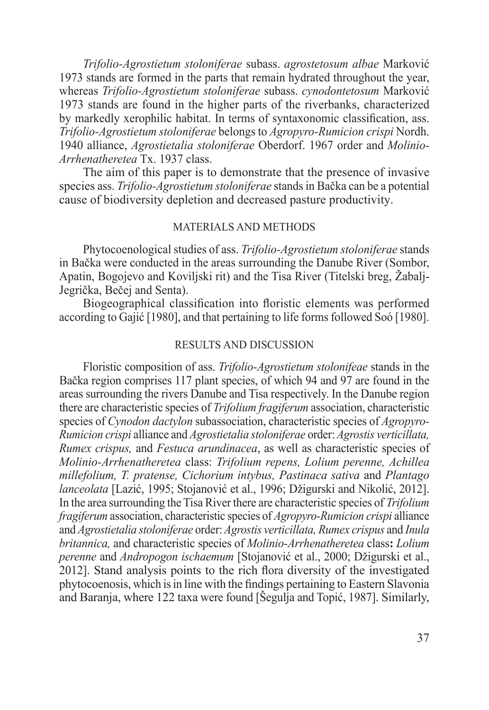*Trifolio-Agrostietum stoloniferae* subass. *agrostetosum albae* Marković 1973 stands are formed in the parts that remain hydrated throughout the year, whereas *Trifolio-Agrostietum stoloniferae* subass. *cynodontetosum* Marković 1973 stands are found in the higher parts of the riverbanks, characterized by markedly xerophilic habitat. In terms of syntaxonomic classification, ass. *Trifolio-Agrostietum stoloniferae* belongs to *Agropyro-Rumicion crispi* Nordh. 1940 alliance, *Agrostietalia stoloniferae* Oberdorf. 1967 order and *Molinio-Arrhenatheretea* Tx. 1937 class.

The aim of this paper is to demonstrate that the presence of invasive species ass. *Trifolio-Agrostietum stoloniferae* stands in Bačka can be a potential cause of biodiversity depletion and decreased pasture productivity.

## MATERIALS AND METHODS

Phytocoenological studies of ass. *Trifolio-Agrostietum stoloniferae* stands in Bačka were conducted in the areas surrounding the Danube River (Sombor, Apatin, Bogojevo and Koviljski rit) and the Tisa River (Titelski breg, Žabalj-Jegrička, Bečej and Senta).

Biogeographical classification into floristic elements was performed according to Gajić [1980], and that pertaining to life forms followed Soó [1980].

### RESULTS AND DISCUSSION

Floristic composition of ass. *Trifolio-Agrostietum stolonifeae* stands in the Bačka region comprises 117 plant species, of which 94 and 97 are found in the areas surrounding the rivers Danube and Tisa respectively. In the Danube region there are characteristic species of *Trifolium fragiferum* association, characteristic species of *Cynodon dactylon* subassociation, characteristic species of *Agropyro-Rumicion crispi* alliance and *Agrostietalia stoloniferae* order: *Agrostis verticillata, Rumex crispus,* and *Festuca arundinacea*, as well as characteristic species of *Molinio-Arrhenatheretea* class: *Trifolium repens, Lolium perenne, Achillea millefolium, T. pratense, Cichorium intybus, Pastinaca sativa* and *Plantago lanceolata* [Lazić, 1995; Stojanović et al., 1996; Džigurski and Nikolić, 2012]. In the area surrounding the Tisa River there are characteristic species of *Trifolium fragiferum* association, characteristic species of *Agropyro-Rumicion crispi* alliance and *Agrostietalia stoloniferae* order: *Agrostis verticillata, Rumex crispus* and *Inula britannica,* and characteristic species of *Molinio-Arrhenatheretea* class**:** *Lolium perenne* and *Andropogon ischaemum* [Stojanović et al., 2000; Džigurski et al., 2012]. Stand analysis points to the rich flora diversity of the investigated phytocoenosis, which is in line with the findings pertaining to Eastern Slavonia and Baranja, where 122 taxa were found [Šegulja and Topić, 1987]. Similarly,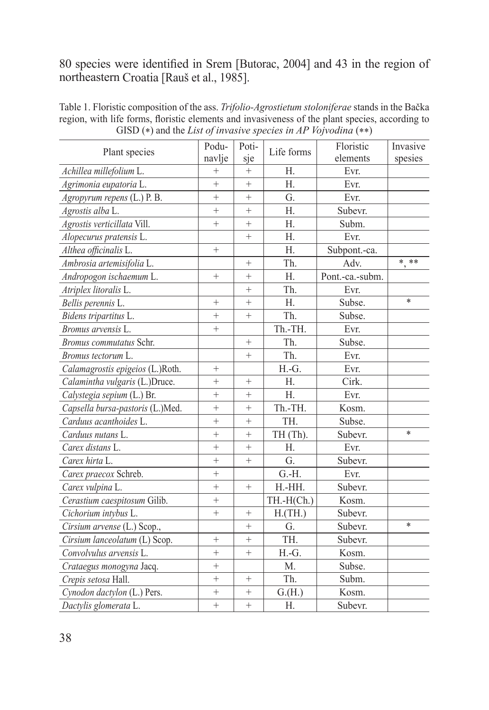## 80 species were identified in Srem [Butorac, 2004] and 43 in the region of northeastern Croatia [Rauš et al., 1985].

| Plant species                    | Podu-<br>navlje | Poti-<br>sje    | Life forms          | Floristic<br>elements | Invasive<br>spesies |
|----------------------------------|-----------------|-----------------|---------------------|-----------------------|---------------------|
| Achillea millefolium L.          | $^{+}$          | $+$             | Η.                  | Evr.                  |                     |
| Agrimonia eupatoria L.           | $\ddot{}$       | $^{+}$          | Η.                  | Evr.                  |                     |
| Agropyrum repens (L.) P. B.      | $\ddot{}$       | $^{+}$          | G.                  | Evr.                  |                     |
| Agrostis alba L.                 | $+$             | $+$             | Η.                  | Subevr.               |                     |
| Agrostis verticillata Vill.      | $+$             | $^{+}$          | H.                  | Subm.                 |                     |
| Alopecurus pratensis L.          |                 | $^{+}$          | Η.                  | Evr.                  |                     |
| Althea officinalis L.            | $+$             |                 | Η.                  | Subpont.-ca.          |                     |
| Ambrosia artemisifolia L.        |                 | $^{+}$          | Th.                 | Adv.                  | * **                |
| Andropogon ischaemum L.          | $^{+}$          | $+$             | Η.                  | Pont.-ca.-subm.       |                     |
| Atriplex litoralis L.            |                 | $^{+}$          | Th.                 | Evr.                  |                     |
| Bellis perennis L.               | $+$             | $^{+}$          | Η.                  | Subse.                | $\ast$              |
| Bidens tripartitus L.            | $+$             | $^{+}$          | Th.                 | Subse.                |                     |
| Bromus arvensis L.               | $+$             |                 | Th.-TH.             | Evr.                  |                     |
| Bromus commutatus Schr.          |                 | $+$             | Th.                 | Subse.                |                     |
| Bromus tectorum L.               |                 | $^{+}$          | Th.                 | Evr.                  |                     |
| Calamagrostis epigeios (L.)Roth. | $^{+}$          |                 | H.-G.               | Evr.                  |                     |
| Calamintha vulgaris (L.)Druce.   | $+$             | $^{+}$          | Η.                  | Cirk.                 |                     |
| Calystegia sepium (L.) Br.       | $+$             | $^{+}$          | H.                  | Evr.                  |                     |
| Capsella bursa-pastoris (L.)Med. | $+$             | $\ddot{}$       | Th.-TH.             | Kosm.                 |                     |
| Carduus acanthoides L.           | $+$             | $^{+}$          | TH.                 | Subse.                |                     |
| Carduus nutans L.                | $^{+}$          | $^{+}$          | TH (Th).            | Subevr.               | $\ast$              |
| Carex distans L.                 | $\ddot{}$       | $^{+}$          | Н.                  | Evr.                  |                     |
| Carex hirta L.                   | $^{+}$          | $^{+}$          | G.                  | Subevr.               |                     |
| Carex praecox Schreb.            | $^{+}$          |                 | $\overline{G}$ . H. | Evr.                  |                     |
| Carex vulpina L.                 | $+$             | $+$             | H.-HH.              | Subevr.               |                     |
| Cerastium caespitosum Gilib.     | $^{+}$          |                 | $TH.-H(Ch.)$        | Kosm.                 |                     |
| Cichorium intybus L.             | $+$             | $^{+}$          | H.(TH.)             | Subevr.               |                     |
| Cirsium arvense (L.) Scop.,      |                 | $\! + \!\!\!\!$ | G.                  | Subevr.               | $\ast$              |
| Cirsium lanceolatum (L) Scop.    | $^{+}$          | $^{+}$          | TH.                 | Subevr.               |                     |
| Convolvulus arvensis L.          | $\ddot{}$       | $^{+}$          | H.-G.               | Kosm.                 |                     |
| Crataegus monogyna Jacq.         | $+$             |                 | M.                  | Subse.                |                     |
| Crepis setosa Hall.              | $^{+}$          | $^{+}$          | Th.                 | Subm.                 |                     |
| Cynodon dactylon (L.) Pers.      | $\ddot{}$       | $^{+}$          | G.(H.)              | Kosm.                 |                     |
| Dactylis glomerata L.            | $+$             | $^{+}$          | Η.                  | Subevr.               |                     |

Table 1. Floristic composition of the ass. *Trifolio-Agrostietum stoloniferae* stands in the Bačka region, with life forms, floristic elements and invasiveness of the plant species, according to GISD (\*) and the *List of invasive species in AP Vojvodina* (\*\*)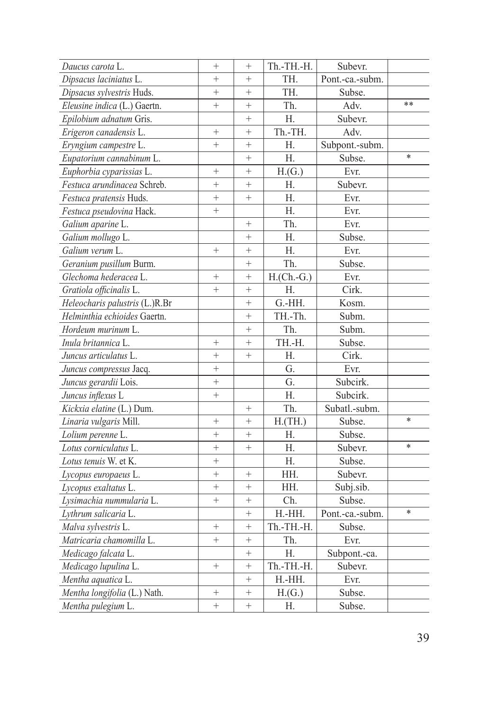| Daucus carota L.               | $\! + \!\!\!\!$   | $\! + \!\!\!\!$ | Th.-TH.-H.   | Subevr.         |        |
|--------------------------------|-------------------|-----------------|--------------|-----------------|--------|
| Dipsacus laciniatus L.         | $+$               | $^{+}$          | TH.          | Pont.-ca.-subm. |        |
| Dipsacus sylvestris Huds.      | $^{+}$            | $^{+}$          | TH.          | Subse.          |        |
| Eleusine indica (L.) Gaertn.   | $^{+}$            | $^+$            | Th.          | Adv.            | **     |
| Epilobium adnatum Gris.        |                   | $^{+}$          | Η.           | Subevr.         |        |
| Erigeron canadensis L.         | $\ddot{}$         | $^{+}$          | Th.-TH.      | Adv.            |        |
| Eryngium campestre L.          | $^{+}$            | $^{+}$          | Η.           | Subpont.-subm.  |        |
| Eupatorium cannabinum L.       |                   | $+$             | Η.           | Subse.          | $\ast$ |
| Euphorbia cyparissias L.       | $\! + \!\!\!\!$   | $^{+}$          | H(G.)        | Evr.            |        |
| Festuca arundinacea Schreb.    | $^{+}$            | $^{+}$          | Η.           | Subevr.         |        |
| Festuca pratensis Huds.        | $^{+}$            | $\! + \!\!\!\!$ | Η.           | Evr.            |        |
| Festuca pseudovina Hack.       | $^{+}$            |                 | Η.           | Evr.            |        |
| Galium aparine L.              |                   | $+$             | Th.          | Evr.            |        |
| Galium mollugo L.              |                   | $^{+}$          | Н.           | Subse.          |        |
| Galium verum L.                | $^{+}$            | $^{+}$          | Н.           | Evr.            |        |
| Geranium pusillum Burm.        |                   | $^{+}$          | Th.          | Subse.          |        |
| Glechoma hederacea L.          | $+$               | $^{+}$          | $H.(Ch.-G.)$ | Evr.            |        |
| Gratiola officinalis L.        | $^{+}$            | $+$             | Н.           | Cirk.           |        |
| Heleocharis palustris (L.)R.Br |                   | $^{+}$          | G.-HH.       | Kosm.           |        |
| Helminthia echioides Gaertn.   |                   | $+$             | TH.-Th.      | Subm.           |        |
| Hordeum murinum L.             |                   | $^{+}$          | Th.          | Subm.           |        |
| Inula britannica L.            | $+$               | $+$             | TH.-H.       | Subse.          |        |
| Juncus articulatus L.          | $+$               | $+$             | Η.           | Cirk.           |        |
| Juncus compressus Jacq.        | $+$               |                 | G.           | Evr.            |        |
| Juncus gerardii Lois.          | $\ddot{}$         |                 | G.           | Subcirk.        |        |
| Juncus inflexus L              | $+$               |                 | Н.           | Subcirk.        |        |
| Kickxia elatine (L.) Dum.      |                   | $^{+}$          | Th.          | Subatl.-subm.   |        |
| Linaria vulgaris Mill.         | $\! + \!\!\!\!$   | $^{+}$          | H.(TH.)      | Subse.          | $\ast$ |
| Lolium perenne L.              | $+$               | $^{+}$          | H.           | Subse.          |        |
| Lotus corniculatus L.          | $^{+}$            | $\! + \!\!\!\!$ | Η.           | Subevr.         | $\ast$ |
| Lotus tenuis W. et K.          | $+$               |                 | Н.           | Subse.          |        |
| Lycopus europaeus L.           | $+$               | $\! + \!\!\!\!$ | HH.          | Subevr.         |        |
| Lycopus exaltatus L.           | $^{+}$            | $^{+}$          | HH.          | Subj.sib.       |        |
| Lysimachia nummularia L.       | $^{+}$            | $^{+}$          | Ch.          | Subse.          |        |
| Lythrum salicaria L.           |                   | $^{+}$          | H.-HH.       | Pont.-ca.-subm. | $\ast$ |
| Malva sylvestris L.            | $^{+}$            | $^{+}$          | Th.-TH.-H.   | Subse.          |        |
| Matricaria chamomilla L.       | $^{+}$            | $^{+}$          | Th.          | Evr.            |        |
| Medicago falcata L.            |                   | $^{+}$          | Η.           | Subpont.-ca.    |        |
| Medicago lupulina L.           | $^+$              | $\! + \!\!\!\!$ | Th.-TH.-H.   | Subevr.         |        |
| Mentha aquatica L.             |                   | $\! + \!\!\!\!$ | H.-HH.       | Evr.            |        |
| Mentha longifolia (L.) Nath.   | $^+$              | $^+$            | H(G.)        | Subse.          |        |
| Mentha pulegium L.             | $\qquad \qquad +$ | $\! + \!\!\!\!$ | Н.           | Subse.          |        |
|                                |                   |                 |              |                 |        |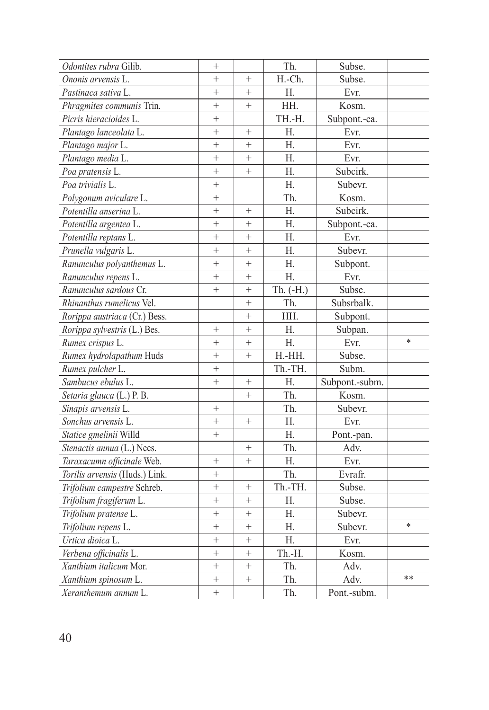| Odontites rubra Gilib.         | $^{+}$    |           | Th.          | Subse.         |        |
|--------------------------------|-----------|-----------|--------------|----------------|--------|
| Ononis arvensis L.             | $\ddot{}$ | $^{+}$    | H.-Ch.       | Subse.         |        |
| Pastinaca sativa L.            | $\ddot{}$ | $^{+}$    | Η.           | Evr.           |        |
| Phragmites communis Trin.      | $\ddot{}$ | $^{+}$    | HH.          | Kosm.          |        |
| Picris hieracioides L.         | $\ddot{}$ |           | TH.-H.       | Subpont.-ca.   |        |
| Plantago lanceolata L.         | $\ddot{}$ | $^{+}$    | Η.           | Evr.           |        |
| Plantago major L.              | $\ddot{}$ | $\ddot{}$ | Η.           | Evr.           |        |
| Plantago media L.              | $\ddot{}$ | $\ddot{}$ | Η.           | Evr.           |        |
| Poa pratensis L.               | $^{+}$    | $^{+}$    | Η.           | Subcirk.       |        |
| Poa trivialis L.               | $^{+}$    |           | Η.           | Subevr.        |        |
| Polygonum aviculare L.         | $^{+}$    |           | Th.          | Kosm.          |        |
| Potentilla anserina L.         | $\ddot{}$ | $\ddot{}$ | Η.           | Subcirk.       |        |
| Potentilla argentea L.         | $\ddot{}$ | $^{+}$    | Η.           | Subpont.-ca.   |        |
| Potentilla reptans L.          | $\ddot{}$ | $\ddot{}$ | Η.           | Evr.           |        |
| Prunella vulgaris L.           | $\ddot{}$ | $\ddot{}$ | Н.           | Subevr.        |        |
| Ranunculus polyanthemus L.     | $\ddot{}$ | $^{+}$    | Η.           | Subpont.       |        |
| Ranunculus repens L.           | $\ddot{}$ | $\ddot{}$ | Н.           | Evr.           |        |
| Ranunculus sardous Cr.         | $^{+}$    | $^{+}$    | Th. $(-H)$ . | Subse.         |        |
| Rhinanthus rumelicus Vel.      |           | $^{+}$    | Th.          | Subsrbalk.     |        |
| Rorippa austriaca (Cr.) Bess.  |           | $\ddot{}$ | HH.          | Subpont.       |        |
| Rorippa sylvestris (L.) Bes.   | $^{+}$    | $^{+}$    | Н.           | Subpan.        |        |
| Rumex crispus L.               | $\ddot{}$ | $^{+}$    | Η.           | Evr.           | $\ast$ |
| Rumex hydrolapathum Huds       | $\ddot{}$ | $^{+}$    | $H.-HH.$     | Subse.         |        |
| Rumex pulcher L.               | $\ddot{}$ |           | Th.-TH.      | Subm.          |        |
| Sambucus ebulus L.             | $\ddot{}$ | $^{+}$    | Η.           | Subpont.-subm. |        |
| Setaria glauca (L.) P. B.      |           | $+$       | Th.          | Kosm.          |        |
| Sinapis arvensis L.            | $\ddot{}$ |           | Th.          | Subevr.        |        |
| Sonchus arvensis L.            | $\ddot{}$ | $^{+}$    | Η.           | Evr.           |        |
| Statice gmelinii Willd         | $\ddot{}$ |           | Η.           | Pont.-pan.     |        |
| Stenactis annua (L.) Nees.     |           | $^{+}$    | Th.          | Adv.           |        |
| Taraxacumn officinale Web.     | $\ddot{}$ | $^{+}$    | Η.           | Evr.           |        |
| Torilis arvensis (Huds.) Link. | $^{+}$    |           | Th.          | Evrafr.        |        |
| Trifolium campestre Schreb.    | $^{+}$    | $^{+}$    | Th.-TH.      | Subse.         |        |
| Trifolium fragiferum L.        | $\ddot{}$ | $^{+}$    | Н.           | Subse.         |        |
| Trifolium pratense L.          | $\ddot{}$ | $^{+}$    | Η.           | Subevr.        |        |
| Trifolium repens L.            | $\ddot{}$ | $^{+}$    | Η.           | Subevr.        | $\ast$ |
| Urtica dioica L.               | $\ddot{}$ | $\ddot{}$ | Η.           | Evr.           |        |
| Verbena officinalis L.         | $\ddot{}$ | $\ddot{}$ | Th.-H.       | Kosm.          |        |
| Xanthium italicum Mor.         | $^{+}$    | $^{+}$    | Th.          | Adv.           |        |
| Xanthium spinosum L.           | $^{+}$    | $^{+}$    | Th.          | Adv.           | **     |
| Xeranthemum annum L.           | $\ddot{}$ |           | Th.          | Pont.-subm.    |        |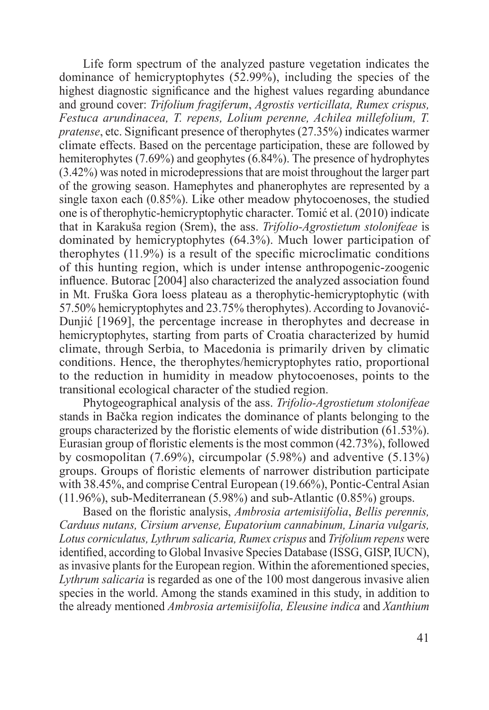Life form spectrum of the analyzed pasture vegetation indicates the dominance of hemicryptophytes (52.99%), including the species of the highest diagnostic significance and the highest values regarding abundance and ground cover: *Trifolium fragiferum*, *Agrostis verticillata, Rumex crispus, Festuca arundinacea, T. repens, Lolium perenne, Achilea millefolium, T. pratense*, etc. Significant presence of therophytes (27.35%) indicates warmer climate effects. Based on the percentage participation, these are followed by hemiterophytes (7.69%) and geophytes (6.84%). The presence of hydrophytes (3.42%) was noted in microdepressions that are moist throughout the larger part of the growing season. Hamephytes and phanerophytes are represented by a single taxon each (0.85%). Like other meadow phytocoenoses, the studied one is of therophytic-hemicryptophytic character. Tomić et al. (2010) indicate that in Karakuša region (Srem), the ass. *Trifolio-Agrostietum stolonifeae* is dominated by hemicryptophytes (64.3%). Much lower participation of therophytes (11.9%) is a result of the specific microclimatic conditions of this hunting region, which is under intense anthropogenic-zoogenic influence. Butorac [2004] also characterized the analyzed association found in Mt. Fruška Gora loess plateau as a therophytic-hemicryptophytic (with 57.50% hemicryptophytes and 23.75% therophytes). According to Jovanović-Dunjić [1969], the percentage increase in therophytes and decrease in hemicryptophytes, starting from parts of Croatia characterized by humid climate, through Serbia, to Macedonia is primarily driven by climatic conditions. Hence, the therophytes/hemicryptophytes ratio, proportional to the reduction in humidity in meadow phytocoenoses, points to the transitional ecological character of the studied region.

Phytogeographical analysis of the ass. *Trifolio-Agrostietum stolonifeae* stands in Bačka region indicates the dominance of plants belonging to the groups characterized by the floristic elements of wide distribution (61.53%). Eurasian group of floristic elements is the most common (42.73%), followed by cosmopolitan (7.69%), circumpolar (5.98%) and adventive (5.13%) groups. Groups of floristic elements of narrower distribution participate with 38.45%, and comprise Central European (19.66%), Pontic-Central Asian (11.96%), sub-Mediterranean (5.98%) and sub-Atlantic (0.85%) groups.

Based on the floristic analysis, *Ambrosia artemisiifolia*, *Bellis perennis, Carduus nutans, Cirsium arvense, Eupatorium cannabinum, Linaria vulgaris, Lotus corniculatus, Lythrum salicaria, Rumex crispus* and *Trifolium repens* were identified, according to Global Invasive Species Database (ISSG, GISP, IUCN), as invasive plants for the European region. Within the aforementioned species, *Lythrum salicaria* is regarded as one of the 100 most dangerous invasive alien species in the world. Among the stands examined in this study, in addition to the already mentioned *Ambrosia artemisiifolia, Eleusine indica* and *Xanthium*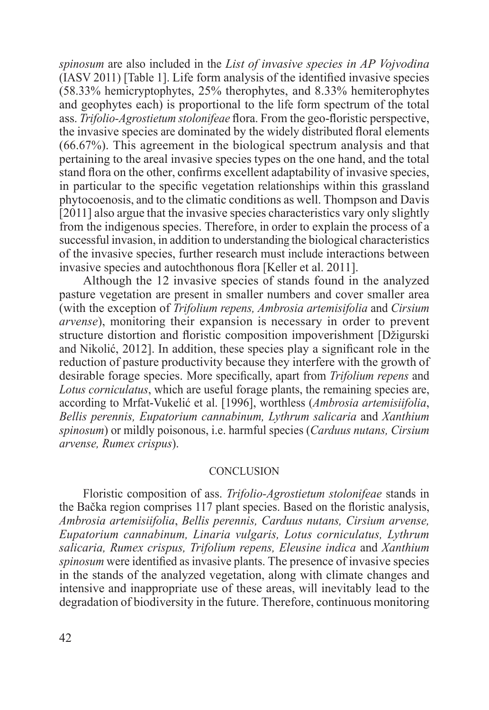*spinosum* are also included in the *List of invasive species in AP Vojvodina* (IASV 2011) [Table 1]. Life form analysis of the identified invasive species (58.33% hemicryptophytes, 25% therophytes, and 8.33% hemiterophytes and geophytes each) is proportional to the life form spectrum of the total ass. *Trifolio-Agrostietum stolonifeae* flora. From the geo-floristic perspective, the invasive species are dominated by the widely distributed floral elements (66.67%). This agreement in the biological spectrum analysis and that pertaining to the areal invasive species types on the one hand, and the total stand flora on the other, confirms excellent adaptability of invasive species, in particular to the specific vegetation relationships within this grassland phytocoenosis, and to the climatic conditions as well. Thompson and Davis [2011] also argue that the invasive species characteristics vary only slightly from the indigenous species. Therefore, in order to explain the process of a successful invasion, in addition to understanding the biological characteristics of the invasive species, further research must include interactions between invasive species and autochthonous flora [Keller et al. 2011].

Although the 12 invasive species of stands found in the analyzed pasture vegetation are present in smaller numbers and cover smaller area (with the exception of *Trifolium repens, Ambrosia artemisifolia* and *Cirsium arvense*), monitoring their expansion is necessary in order to prevent structure distortion and floristic composition impoverishment [Džigurski and Nikolić, 2012]. In addition, these species play a significant role in the reduction of pasture productivity because they interfere with the growth of desirable forage species. More specifically, apart from *Trifolium repens* and *Lotus corniculatus*, which are useful forage plants, the remaining species are, according to Mrfat-Vukelić et al. [1996], worthless (*Ambrosia artemisiifolia*, *Bellis perennis, Eupatorium cannabinum, Lythrum salicaria* and *Xanthium spinosum*) or mildly poisonous, i.e. harmful species (*Carduus nutans, Cirsium arvense, Rumex crispus*).

### **CONCLUSION**

Floristic composition of ass. *Trifolio-Agrostietum stolonifeae* stands in the Bačka region comprises 117 plant species. Based on the floristic analysis, *Ambrosia artemisiifolia*, *Bellis perennis, Carduus nutans, Cirsium arvense, Eupatorium cannabinum, Linaria vulgaris, Lotus corniculatus, Lythrum salicaria, Rumex crispus, Trifolium repens, Eleusine indica* and *Xanthium spinosum* were identified as invasive plants. The presence of invasive species in the stands of the analyzed vegetation, along with climate changes and intensive and inappropriate use of these areas, will inevitably lead to the degradation of biodiversity in the future. Therefore, continuous monitoring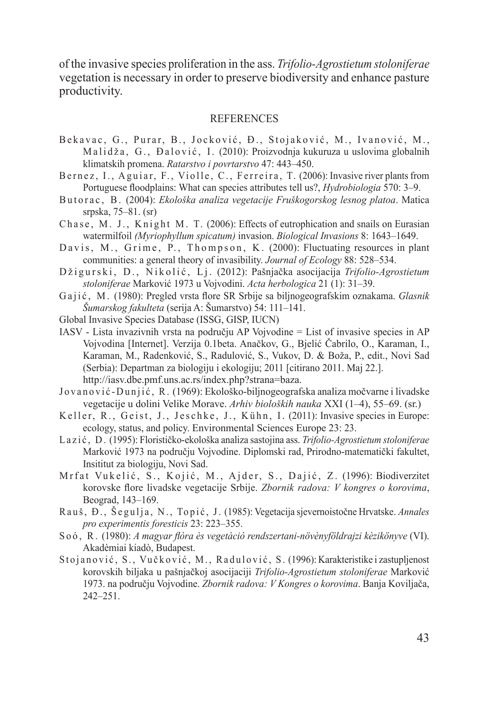of the invasive species proliferation in the ass. *Trifolio-Agrostietum stoloniferae* vegetation is necessary in order to preserve biodiversity and enhance pasture productivity.

### REFERENCES

- Bekavac, G., Purar, B., Jocković, Đ., Stojaković, M., Ivanović, M., Malidža, G., Đalović, I. (2010): Proizvodnia kukuruza u uslovima globalnih klimatskih promena. *Ratarstvo i povrtarstvo* 47: 443–450.
- Bernez, I., Aguiar, F., Violle, C., Ferreira, T. (2006): Invasive river plants from Portuguese floodplains: What can species attributes tell us?, *Hydrobiologia* 570: 3–9.
- Butorac, B. (2004): *Ekološka analiza vegetacije Fruškogorskog lesnog platoa*. Matica srpska, 75–81. (sr)
- Chase, M. J., Knight M. T. (2006): Effects of eutrophication and snails on Eurasian watermilfoil *(Myriophyllum spicatum)* invasion. *Biological Invasions* 8: 1643–1649.
- Davis, M., Grime, P., Thompson, K. (2000): Fluctuating resources in plant communities: a general theory of invasibility. *Journal of Ecology* 88: 528–534.
- D ži gurski, D., Nikolić, Lj. (2012): Pašnjačka asocijacija *Trifolio-Agrostietum stoloniferae* Marković 1973 u Vojvodini. *Acta herbologica* 21 (1): 31–39.
- Gajić, M. (1980): Pregled vrsta flore SR Srbije sa biljnogeografskim oznakama. *Glasnik Šumarskog fakulteta* (serija A: Šumarstvo) 54: 111–141.
- Global Invasive Species Database (ISSG, GISP, IUCN)
- IASV Lista invazivnih vrsta na području AP Vojvodine = List of invasive species in AP Vojvodina [Internet]. Verzija 0.1beta. Anačkov, G., Bjelić Čabrilo, O., Karaman, I., Karaman, M., Radenković, S., Radulović, S., Vukov, D. & Boža, P., edit., Novi Sad (Serbia): Departman za biologiju i ekologiju; 2011 [citirano 2011. Maj 22.]. http://iasv.dbe.pmf.uns.ac.rs/index.php?strana=baza.
- Jovanović-Dunjić, R. (1969): Ekološko-biljnogeografska analiza močvarne i livadske vegetacije u dolini Velike Morave. *Arhiv bioloških nauka* XXI (1–4), 55–69. (sr.)
- Keller, R., Geist, J., Jeschke, J., Kühn, I. (2011): Invasive species in Europe: ecology, status, and policy. Environmental Sciences Europe 23: 23.
- L a z i ć , D . (1995): Florističko-ekološka analiza sastojina ass. *Trifolio-Agrostietum stoloniferae* Marković 1973 na području Vojvodine. Diplomski rad, Prirodno-matematički fakultet, Insititut za biologiju, Novi Sad.
- Mrfat Vukelić, S., Kojić, M., Ajder, S., Dajić, Z. (1996): Biodiverzitet korovske flore livadske vegetacije Srbije. *Zbornik radova: V kongres o korovima*, Beograd, 143–169.
- Rauš, Đ., Šegulja, N., Topić, J. (1985): Vegetacija sjevernoistočne Hrvatske. *Annales pro experimentis foresticis* 23: 223–355.
- S o ó , R . (1980): *A magyar flòra ès vegetàciò rendszertani-növènyföldrajzi kèzikönyve* (VI). Akadèmiai kiadò, Budapest.
- Stojanović, S., Vučković, M., Radulović, S. (1996): Karakteristike i zastupljenost korovskih biljaka u pašnjačkoj asocijaciji *Trifolio-Agrostietum stoloniferae* Marković 1973. na području Vojvodine. *Zbornik radova: V Kongres o korovima*. Banja Koviljača, 242–251.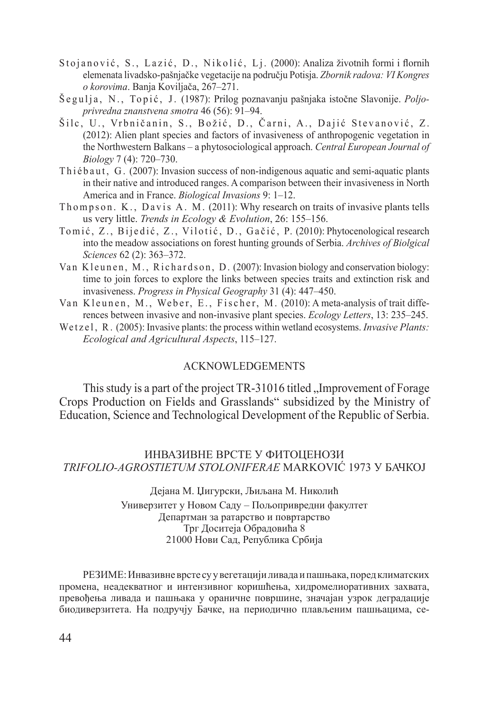- Stojanović, S., Lazić, D., Nikolić, Lj. (2000): Analiza životnih formi i flornih elemenata livadsko-pašnjačke vegetacije na području Potisja. *Zbornik radova: VI Kongres o korovima*. Banja Koviljača, 267–271.
- Šegulja, N., Topić, J. (1987): Prilog poznavanju pašnjaka istočne Slavonije. *Poljoprivredna znanstvena smotra* 46 (56): 91–94.
- Šilc, U., Vrbničanin, S., Božić, D., Čarni, A., Dajić Stevanović, Z. (2012): Alien plant species and factors of invasiveness of anthropogenic vegetation in the Northwestern Balkans – a phytosociological approach. *Central European Journal of Biology* 7 (4): 720–730.
- Thi é b a u t, G. (2007): Invasion success of non-indigenous aquatic and semi-aquatic plants in their native and introduced ranges. A comparison between their invasiveness in North America and in France. *Biological Invasions* 9: 1–12.
- Thompson, K., Davis A. M. (2011): Why research on traits of invasive plants tells us very little. *Trends in Ecology & Evolution*, 26: 155–156.
- Tomić, Z., Bijedić, Z., Vilotić, D., Gačić, P. (2010): Phytocenological research into the meadow associations on forest hunting grounds of Serbia. *Archives of Biolgical Sciences* 62 (2): 363–372.
- Van Kleunen, M., Richardson, D. (2007): Invasion biology and conservation biology: time to join forces to explore the links between species traits and extinction risk and invasiveness. *Progress in Physical Geography* 31 (4): 447–450.
- Van Kleunen, M., Weber, E., Fischer, M. (2010): A meta-analysis of trait differences between invasive and non-invasive plant species. *Ecology Letters*, 13: 235–245.
- We t z e l, R. (2005): Invasive plants: the process within wetland ecosystems. *Invasive Plants: Ecological and Agricultural Aspects*, 115–127.

## Acknowledgements

This study is a part of the project TR-31016 titled "Improvement of Forage" Crops Production on Fields and Grasslands" subsidized by the Ministry of Education, Science and Technological Development of the Republic of Serbia.

### ИНВАЗИВНЕ ВРСТЕ У ФИТОЦЕНОЗИ *TRIFOLIO-AGROSTIETUM STOLONIFERAE* MARKOVIĆ 1973 У БАЧКОЈ

Дејана М. Џигурски, Љиљана М. Николић Универзитет у Новом Саду – Пољопривредни факултет Департман за ратарство и повртарство Трг Доситеја Обрадовића 8 21000 Нови Сад, Република Србија

РЕЗИМЕ: Инвазивне врсте су у вегетацији ливада и пашњака, поред климатских промена, неадекватног и интензивног коришћења, хидромелиоративних захвата, превођења ливада и пашњака у ораничне површине, значајан узрок деградације биодиверзитета. На подручју Бачке, на периодично плављеним пашњацима, се